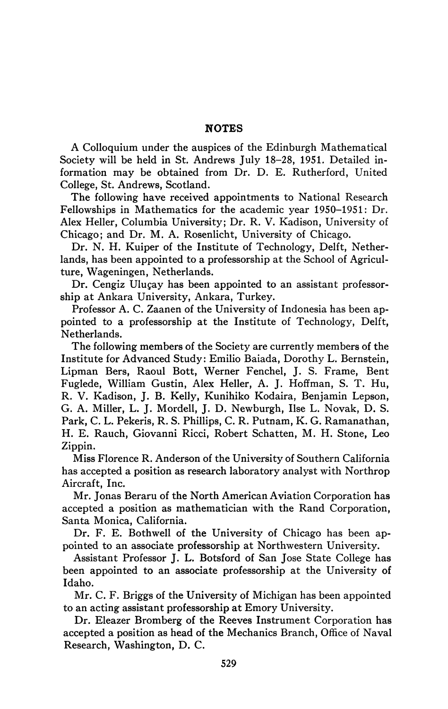## **NOTES**

A Colloquium under the auspices of the Edinburgh Mathematical Society will be held in St. Andrews July 18-28, 1951. Detailed information may be obtained from Dr. D. E. Rutherford, United College, St. Andrews, Scotland.

The following have received appointments to National Research Fellowships in Mathematics for the academic year 1950-1951: Dr. Alex Heller, Columbia University; Dr. R. V. Kadison, University of Chicago; and Dr. M. A. Rosenlicht, University of Chicago.

Dr. N. H. Kuiper of the Institute of Technology, Delft, Netherlands, has been appointed to a professorship at the School of Agriculture, Wageningen, Netherlands.

Dr. Cengiz Uluçay has been appointed to an assistant professorship at Ankara University, Ankara, Turkey.

Professor A. C. Zaanen of the University of Indonesia has been appointed to a professorship at the Institute of Technology, Delft, Netherlands.

The following members of the Society are currently members of the Institute for Advanced Study: Emilio Baiada, Dorothy L. Bernstein, Lipman Bers, Raoul Bott, Werner Fenchel, J. S. Frame, Bent Fuglede, William Gustin, Alex Heller, A. J. Hoffman, S. T. Hu, R. V. Kadison, J. B. Kelly, Kunihiko Kodaira, Benjamin Lepson, G. A. Miller, L. J. Mordell, J. D. Newburgh, Use L. Novak, D. S. Park, C. L. Pekeris, R. S. Phillips, C. R. Putnam, K. G. Ramanathan, H. E. Rauch, Giovanni Ricci, Robert Schatten, M. H. Stone, Leo Zippin.

Miss Florence R. Anderson of the University of Southern California has accepted a position as research laboratory analyst with Northrop Aircraft, Inc.

Mr. Jonas Beraru of the North American Aviation Corporation has accepted a position as mathematician with the Rand Corporation, Santa Monica, California.

Dr. F. E. Bothwell of the University of Chicago has been appointed to an associate professorship at Northwestern University.

Assistant Professor J. L. Botsford of San Jose State College has been appointed to an associate professorship at the University of Idaho.

Mr. C. F. Briggs of the University of Michigan has been appointed to an acting assistant professorship at Emory University.

Dr. Eleazer Bromberg of the Reeves Instrument Corporation has accepted a position as head of the Mechanics Branch, Office of Naval Research, Washington, D. C.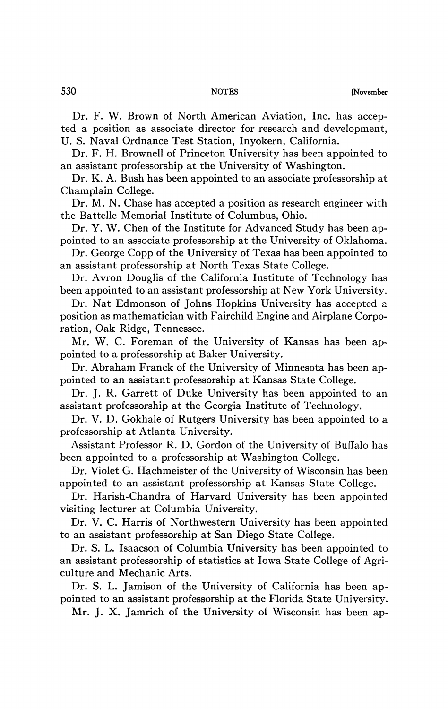Dr. F. W. Brown of North American Aviation, Inc. has accepted a position as associate director for research and development, U. S. Naval Ordnance Test Station, Inyokern, California.

Dr. F. H. Brownell of Princeton University has been appointed to an assistant professorship at the University of Washington.

Dr. K. A. Bush has been appointed to an associate professorship at Champlain College.

Dr. M. N. Chase has accepted a position as research engineer with the Battelle Memorial Institute of Columbus, Ohio.

Dr. Y. W. Chen of the Institute for Advanced Study has been appointed to an associate professorship at the University of Oklahoma.

Dr. George Copp of the University of Texas has been appointed to an assistant professorship at North Texas State College.

Dr. Avron Douglis of the California Institute of Technology has been appointed to an assistant professorship at New York University.

Dr. Nat Edmonson of Johns Hopkins University has accepted a position as mathematician with Fairchild Engine and Airplane Corporation, Oak Ridge, Tennessee.

Mr. W. C. Foreman of the University of Kansas has been appointed to a professorship at Baker University.

Dr. Abraham Franck of the University of Minnesota has been appointed to an assistant professorship at Kansas State College.

Dr. J. R. Garrett of Duke University has been appointed to an assistant professorship at the Georgia Institute of Technology.

Dr. V. D. Gokhale of Rutgers University has been appointed to a professorship at Atlanta University.

Assistant Professor R. D. Gordon of the University of Buffalo has been appointed to a professorship at Washington College.

Dr. Violet G. Hachmeister of the University of Wisconsin has been appointed to an assistant professorship at Kansas State College.

Dr. Harish-Chandra of Harvard University has been appointed visiting lecturer at Columbia University.

Dr. V. C. Harris of Northwestern University has been appointed to an assistant professorship at San Diego State College.

Dr. S. L. Isaacson of Columbia University has been appointed to an assistant professorship of statistics at Iowa State College of Agriculture and Mechanic Arts.

Dr. S. L. Jamison of the University of California has been appointed to an assistant professorship at the Florida State University.

Mr. J. X. Jamrich of the University of Wisconsin has been ap-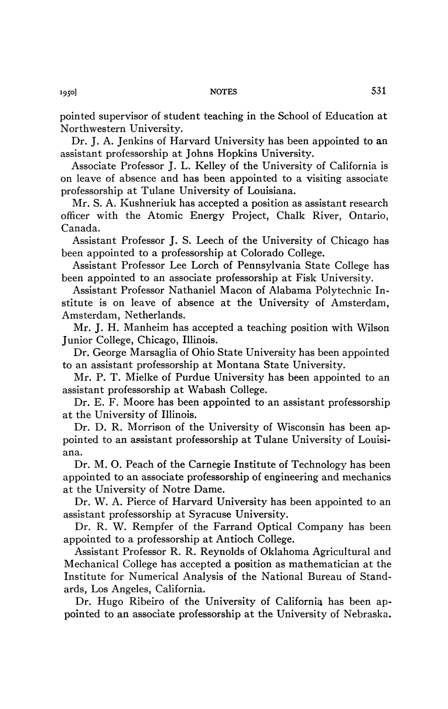pointed supervisor of student teaching in the School of Education at Northwestern University.

Dr. J. A. Jenkins of Harvard University has been appointed to an assistant professorship at Johns Hopkins University.

Associate Professor J. L. Kelley of the University of California is on leave of absence and has been appointed to a visiting associate professorship at Tulane University of Louisiana.

Mr. S. A. Kushneriuk has accepted a position as assistant research officer with the Atomic Energy Project, Chalk River, Ontario, Canada.

Assistant Professor J. S. Leech of the University of Chicago has been appointed to a professorship at Colorado College.

Assistant Professor Lee Lorch of Pennsylvania State College has been appointed to an associate professorship at Fisk University.

Assistant Professor Nathaniel Macon of Alabama Polytechnic Institute is on leave of absence at the University of Amsterdam, Amsterdam, Netherlands.

Mr. J. H. Manheim has accepted a teaching position with Wilson Junior College, Chicago, Illinois.

Dr. George Marsaglia of Ohio State University has been appointed to an assistant professorship at Montana State University.

Mr. P. T. Mielke of Purdue University has been appointed to an assistant professorship at Wabash College.

Dr. E. F. Moore has been appointed to an assistant professorship at the University of Illinois.

Dr. D. R. Morrison of the University of Wisconsin has been appointed to an assistant professorship at Tulane University of Louisiana.

Dr. M. O. Peach of the Carnegie Institute of Technology has been appointed to an associate professorship of engineering and mechanics at the University of Notre Dame.

Dr. W. A. Pierce of Harvard University has been appointed to an assistant professorship at Syracuse University.

Dr. R. W. Rempfer of the Farrand Optical Company has been appointed to a professorship at Antioch College.

Assistant Professor R. R. Reynolds of Oklahoma Agricultural and Mechanical College has accepted a position as mathematician at the Institute for Numerical Analysis of the National Bureau of Standards, Los Angeles, California.

Dr. Hugo Ribeiro of the University of California has been appointed to an associate professorship at the University of Nebraska.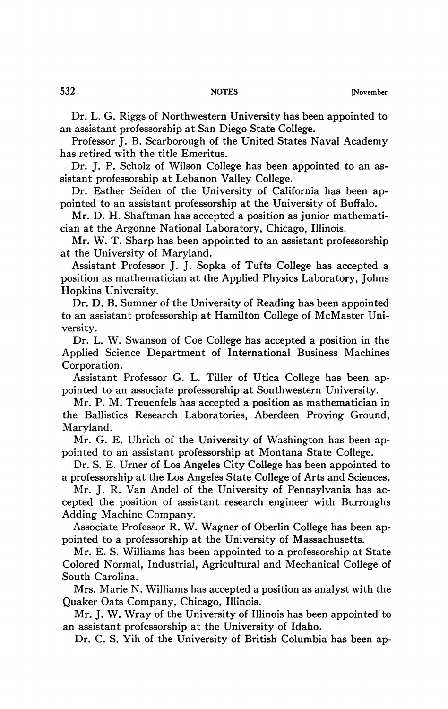Dr. L. G. Riggs of Northwestern University has been appointed to an assistant professorship at San Diego State College.

Professor J. B. Scarborough of the United States Naval Academy has retired with the title Emeritus.

Dr. J. P. Scholz of Wilson College has been appointed to an assistant professorship at Lebanon Valley College.

Dr. Esther Seiden of the University of California has been appointed to an assistant professorship at the University of Buffalo.

Mr. D. H. Shaftman has accepted a position as junior mathematician at the Argonne National Laboratory, Chicago, Illinois.

Mr. W. T. Sharp has been appointed to an assistant professorship at the University of Maryland.

Assistant Professor J. J. Sopka of Tufts College has accepted a position as mathematician at the Applied Physics Laboratory, Johns Hopkins University.

Dr. D. B. Sumner of the University of Reading has been appointed to an assistant professorship at Hamilton College of McMaster University.

Dr. L. W. Swanson of Coe College has accepted a position in the Applied Science Department of International Business Machines Corporation.

Assistant Professor G. L. Tiller of Utica College has been appointed to an associate professorship at Southwestern University.

Mr. P. M. Treuenfels has accepted a position as mathematician in the Ballistics Research Laboratories, Aberdeen Proving Ground, Maryland.

Mr. G. E. Uhrich of the University of Washington has been appointed to an assistant professorship at Montana State College.

Dr. S. E. Urner of Los Angeles City College has been appointed to a professorship at the Los Angeles State College of Arts and Sciences.

Mr. J. R. Van Andel of the University of Pennsylvania has accepted the position of assistant research engineer with Burroughs Adding Machine Company.

Associate Professor R. W. Wagner of Oberlin College has been appointed to a professorship at the University of Massachusetts.

Mr. E. S. Williams has been appointed to a professorship at State Colored Normal, Industrial, Agricultural and Mechanical College of South Carolina.

Mrs. Marie N. Williams has accepted a position as analyst with the Quaker Oats Company, Chicago, Illinois.

Mr. J. W. Wray of the University of Illinois has been appointed to an assistant professorship at the University of Idaho.

Dr. C. S. Yih of the University of British Columbia has been ap-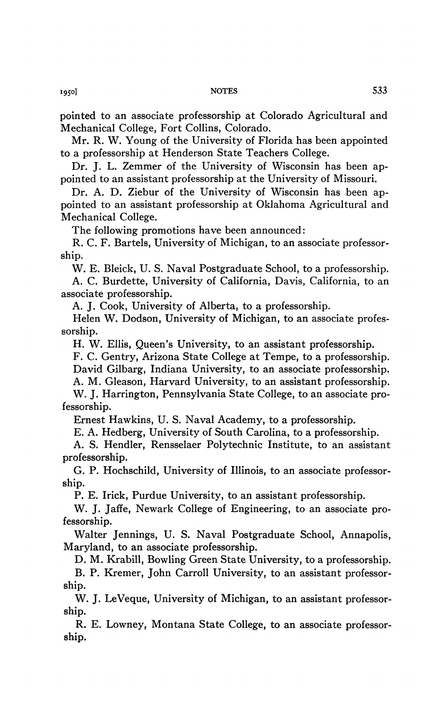pointed to an associate professorship at Colorado Agricultural and Mechanical College, Fort Collins, Colorado.

Mr. R. W. Young of the University of Florida has been appointed to a professorship at Henderson State Teachers College.

Dr. J. L. Zemmer of the University of Wisconsin has been appointed to an assistant professorship at the University of Missouri.

Dr. A. D. Ziebur of the University of Wisconsin has been appointed to an assistant professorship at Oklahoma Agricultural and Mechanical College.

The following promotions have been announced :

R. C. F. Bartels, University of Michigan, to an associate professorship.

W. E. Bleick, U. S. Naval Postgraduate School, to a professorship.

A. C. Burdette, University of California, Davis, California, to an associate professorship.

A. J. Cook, University of Alberta, to a professorship.

Helen W. Dodson, University of Michigan, to an associate professorship.

H. W. Ellis, Queen's University, to an assistant professorship.

F. C. Gentry, Arizona State College at Tempe, to a professorship.

David Gilbarg, Indiana University, to an associate professorship.

A. M. Gleason, Harvard University, to an assistant professorship.

W. J. Harrington, Pennsylvania State College, to an associate professorship.

Ernest Hawkins, U. S. Naval Academy, to a professorship.

E. A. Hedberg, University of South Carolina, to a professorship.

A. S. Hendler, Rensselaer Polytechnic Institute, to an assistant professorship.

G. P. Hochschild, University of Illinois, to an associate professorship.

P. E. Irick, Purdue University, to an assistant professorship.

W. J. Jaffe, Newark College of Engineering, to an associate professorship.

Walter Jennings, U. S. Naval Postgraduate School, Annapolis, Maryland, to an associate professorship.

D. M. Krabill, Bowling Green State University, to a professorship.

B. P. Kremer, John Carroll University, to an assistant professorship.

W. J. LeVeque, University of Michigan, to an assistant professorship.

R. E. Lowney, Montana State College, to an associate professorship.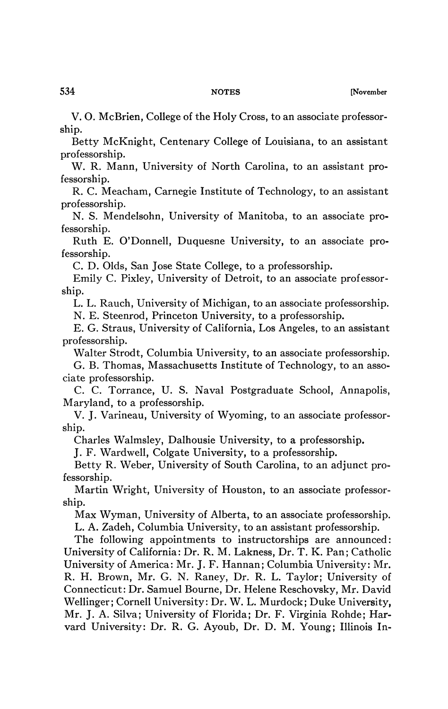V. O. McBrien, College of the Holy Cross, to an associate professorship.

Betty McKnight, Centenary College of Louisiana, to an assistant professorship.

W. R. Mann, University of North Carolina, to an assistant professorship.

R. C. Meacham, Carnegie Institute of Technology, to an assistant professorship.

N. S. Mendelsohn, University of Manitoba, to an associate professorship.

Ruth E. O'Donnell, Duquesne University, to an associate professorship.

C. D. Olds, San Jose State College, to a professorship.

Emily C. Pixley, University of Detroit, to an associate professorship.

L. L. Rauch, University of Michigan, to an associate professorship. N. E. Steenrod, Princeton University, to a professorship.

E. G. Straus, University of California, Los Angeles, to an assistant professorship.

Walter Strodt, Columbia University, to an associate professorship.

G. B. Thomas, Massachusetts Institute of Technology, to an associate professorship.

C. C. Torrance, U. S. Naval Postgraduate School, Annapolis, Maryland, to a professorship.

V. J. Varineau, University of Wyoming, to an associate professorship.

Charles Walmsley, Dalhousie University, to a professorship.

J. F. Wardwell, Colgate University, to a professorship.

Betty R. Weber, University of South Carolina, to an adjunct professorship.

Martin Wright, University of Houston, to an associate professorship.

Max Wyman, University of Alberta, to an associate professorship.

L. A. Zadeh, Columbia University, to an assistant professorship.

The following appointments to instructorships are announced: University of California: Dr. R. M. Lakness, Dr. T. K. Pan; Catholic University of America: Mr. J. F. Hannan; Columbia University: Mr. R. H. Brown, Mr. G. N. Raney, Dr. R. L. Taylor; University of Connecticut: Dr. Samuel Bourne, Dr. Helene Reschovsky, Mr. David Wellinger; Cornell University: Dr. W. L. Murdock; Duke University, Mr. J. A. Silva; University of Florida; Dr. F. Virginia Rohde; Harvard University: Dr. R. G. Ayoub, Dr. D. M. Young; Illinois In